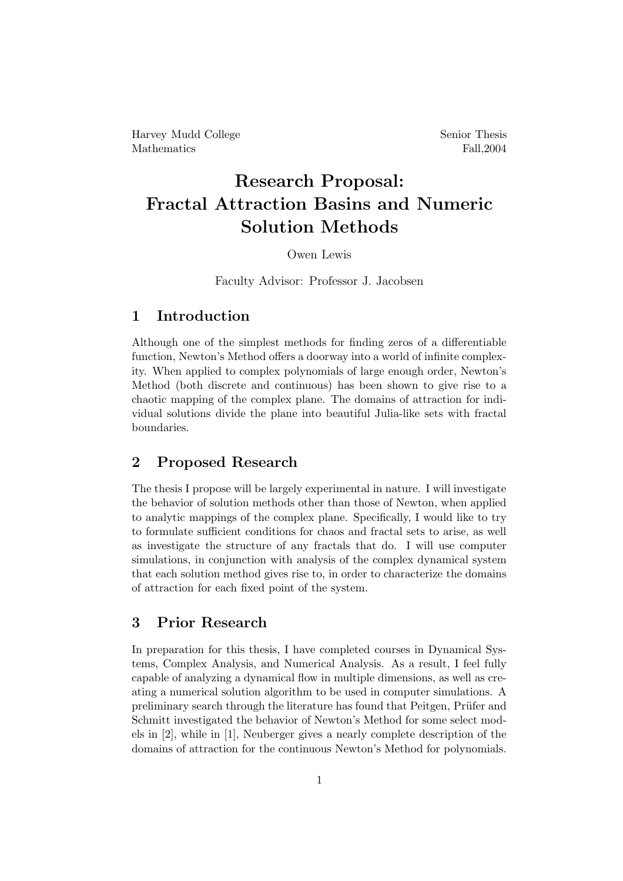Harvey Mudd College Senior Thesis Mathematics Fall, 2004

# Research Proposal: Fractal Attraction Basins and Numeric Solution Methods

#### Owen Lewis

Faculty Advisor: Professor J. Jacobsen

#### 1 Introduction

Although one of the simplest methods for finding zeros of a differentiable function, Newton's Method offers a doorway into a world of infinite complexity. When applied to complex polynomials of large enough order, Newton's Method (both discrete and continuous) has been shown to give rise to a chaotic mapping of the complex plane. The domains of attraction for individual solutions divide the plane into beautiful Julia-like sets with fractal boundaries.

### 2 Proposed Research

The thesis I propose will be largely experimental in nature. I will investigate the behavior of solution methods other than those of Newton, when applied to analytic mappings of the complex plane. Specifically, I would like to try to formulate sufficient conditions for chaos and fractal sets to arise, as well as investigate the structure of any fractals that do. I will use computer simulations, in conjunction with analysis of the complex dynamical system that each solution method gives rise to, in order to characterize the domains of attraction for each fixed point of the system.

#### 3 Prior Research

In preparation for this thesis, I have completed courses in Dynamical Systems, Complex Analysis, and Numerical Analysis. As a result, I feel fully capable of analyzing a dynamical flow in multiple dimensions, as well as creating a numerical solution algorithm to be used in computer simulations. A preliminary search through the literature has found that Peitgen, Prüfer and Schmitt investigated the behavior of Newton's Method for some select models in [2], while in [1], Neuberger gives a nearly complete description of the domains of attraction for the continuous Newton's Method for polynomials.